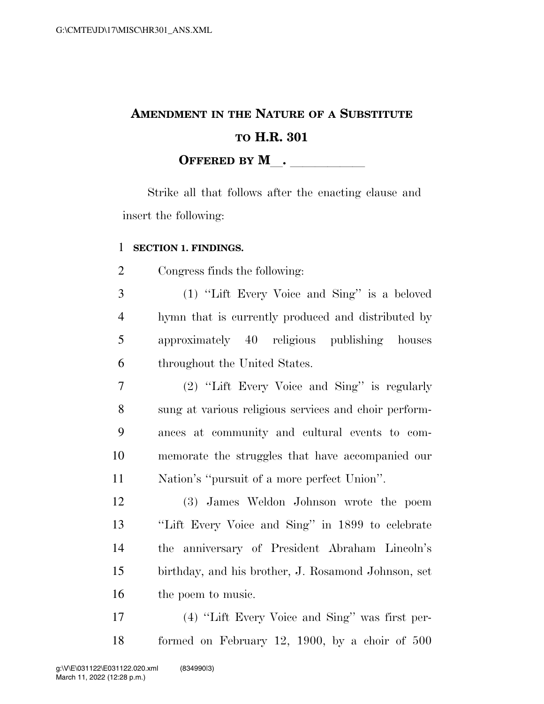# **AMENDMENT IN THE NATURE OF A SUBSTITUTE TO H.R. 301 OFFERED BY M**.

Strike all that follows after the enacting clause and insert the following:

### **SECTION 1. FINDINGS.**

Congress finds the following:

 (1) ''Lift Every Voice and Sing'' is a beloved hymn that is currently produced and distributed by approximately 40 religious publishing houses throughout the United States.

 (2) ''Lift Every Voice and Sing'' is regularly sung at various religious services and choir perform- ances at community and cultural events to com- memorate the struggles that have accompanied our Nation's ''pursuit of a more perfect Union''.

 (3) James Weldon Johnson wrote the poem ''Lift Every Voice and Sing'' in 1899 to celebrate the anniversary of President Abraham Lincoln's birthday, and his brother, J. Rosamond Johnson, set 16 the poem to music.

 (4) ''Lift Every Voice and Sing'' was first per-formed on February 12, 1900, by a choir of 500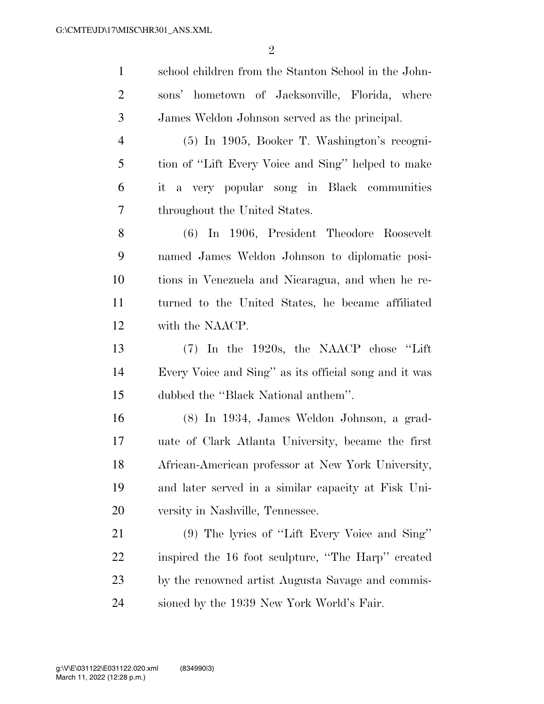| $\mathbf{1}$   | school children from the Stanton School in the John-  |
|----------------|-------------------------------------------------------|
| $\overline{2}$ | sons' hometown of Jacksonville, Florida, where        |
| $\mathfrak{Z}$ | James Weldon Johnson served as the principal.         |
| $\overline{4}$ | (5) In 1905, Booker T. Washington's recogni-          |
| 5              | tion of "Lift Every Voice and Sing" helped to make    |
| 6              | it a very popular song in Black communities           |
| $\overline{7}$ | throughout the United States.                         |
| 8              | (6) In 1906, President Theodore Roosevelt             |
| 9              | named James Weldon Johnson to diplomatic posi-        |
| 10             | tions in Venezuela and Nicaragua, and when he re-     |
| 11             | turned to the United States, he became affiliated     |
| 12             | with the NAACP.                                       |
| 13             | $(7)$ In the 1920s, the NAACP chose "Lift"            |
| 14             | Every Voice and Sing" as its official song and it was |
| 15             | dubbed the "Black National anthem".                   |
| 16             | (8) In 1934, James Weldon Johnson, a grad-            |
| 17             | uate of Clark Atlanta University, became the first    |
| 18             | African-American professor at New York University,    |
| 19             | and later served in a similar capacity at Fisk Uni-   |
| 20             | versity in Nashville, Tennessee.                      |
| 21             | (9) The lyrics of "Lift Every Voice and Sing"         |
| 22             | inspired the 16 foot sculpture, "The Harp" created    |
| 23             | by the renowned artist Augusta Savage and commis-     |
| 24             | sioned by the 1939 New York World's Fair.             |